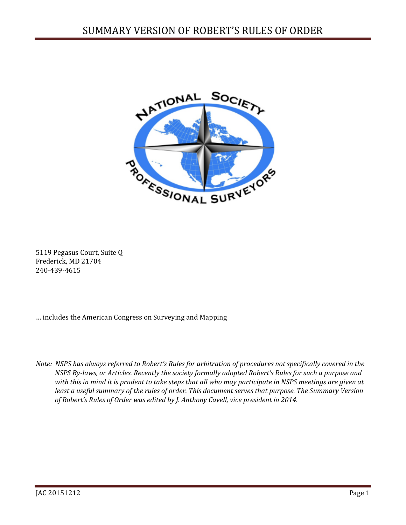

5119 Pegasus Court, Suite Q Frederick, MD 21704 240-439-4615

… includes the American Congress on Surveying and Mapping

*Note: NSPS has always referred to Robert's Rules for arbitration of procedures not specifically covered in the NSPS By-laws, or Articles. Recently the society formally adopted Robert's Rules for such a purpose and with this in mind it is prudent to take steps that all who may participate in NSPS meetings are given at least a useful summary of the rules of order. This document serves that purpose. The Summary Version of Robert's Rules of Order was edited by J. Anthony Cavell, vice president in 2014.*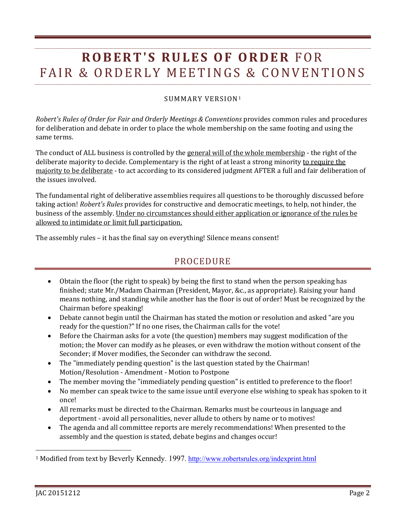## **ROBERT'S RULES OF ORDER** FOR FAIR & ORDERLY MEETINGS & CONVENTIONS

## SUMMARY VERSION[1](#page-1-0)

*Robert's Rules of Order for Fair and Orderly Meetings & Conventions* provides common rules and procedures for deliberation and debate in order to place the whole membership on the same footing and using the same terms.

The conduct of ALL business is controlled by the general will of the whole membership - the right of the deliberate majority to decide. Complementary is the right of at least a strong minority to require the majority to be deliberate - to act according to its considered judgment AFTER a full and fair deliberation of the issues involved.

The fundamental right of deliberative assemblies requires all questions to be thoroughly discussed before taking action! *Robert's Rules* provides for constructive and democratic meetings, to help, not hinder, the business of the assembly. Under no circumstances should either application or ignorance of the rules be allowed to intimidate or limit full participation.

The assembly rules – it has the final say on everything! Silence means consent!

## PROCEDURE

- Obtain the floor (the right to speak) by being the first to stand when the person speaking has finished; state Mr./Madam Chairman (President, Mayor, &c., as appropriate). Raising your hand means nothing, and standing while another has the floor is out of order! Must be recognized by the Chairman before speaking!
- Debate cannot begin until the Chairman has stated the motion or resolution and asked "are you ready for the question?" If no one rises, the Chairman calls for the vote!
- Before the Chairman asks for a vote (the question) members may suggest modification of the motion; the Mover can modify as he pleases, or even withdraw the motion without consent of the Seconder; if Mover modifies, the Seconder can withdraw the second.
- The "immediately pending question" is the last question stated by the Chairman! Motion/Resolution - Amendment - Motion to Postpone
- The member moving the "immediately pending question" is entitled to preference to the floor!
- No member can speak twice to the same issue until everyone else wishing to speak has spoken to it once!
- All remarks must be directed to the Chairman. Remarks must be courteous in language and deportment - avoid all personalities, never allude to others by name or to motives!
- The agenda and all committee reports are merely recommendations! When presented to the assembly and the question is stated, debate begins and changes occur!

l

<span id="page-1-0"></span><sup>1</sup> Modified from text by Beverly Kennedy. 1997. <http://www.robertsrules.org/indexprint.html>